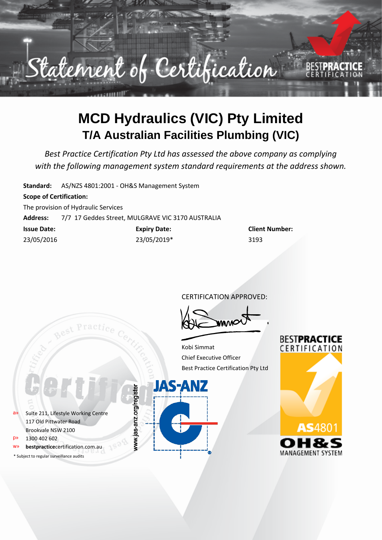

### **MCD Hydraulics (VIC) Pty Limited T/A Australian Facilities Plumbing (VIC)**

*Best Practice Certification Pty Ltd has assessed the above company as complying with the following management system standard requirements at the address shown.*

**Standard:** AS/NZS 4801:2001 - OH&S Management System

#### **Scope of Certification:**

The provision of Hydraulic Services

Best Practic

**Address:** 7/7 17 Geddes Street, MULGRAVE VIC 3170 AUSTRALIA

| <b>Issue Date:</b> | <b>Expiry Date:</b> | Clien |
|--------------------|---------------------|-------|
| 23/05/2016         | 23/05/2019*         | 3193  |

**Client Number:** 

CERTIFICATION APPROVED:

Kobi Simmat Chief Executive Officer Best Practice Certification Pty Ltd

**JAS-ANZ** 

www.jas-anz.org/register



a» Suite 211, Lifestyle Working Centre 117 Old Pittwater Road Brookvale NSW 2100 p» 1300 402 602

bestpracticecertification.com.au

\* Subject to regular surveillance audits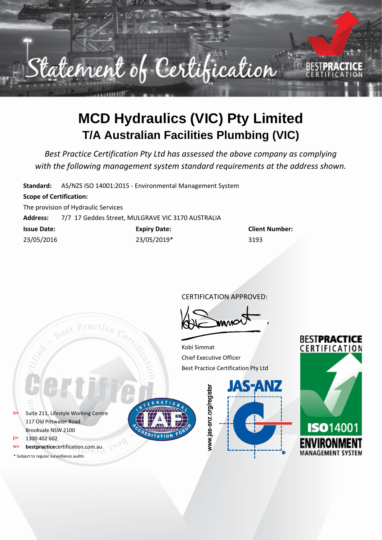

# **MCD Hydraulics (VIC) Pty Limited T/A Australian Facilities Plumbing (VIC)**

*Best Practice Certification Pty Ltd has assessed the above company as complying with the following management system standard requirements at the address shown.*

**Standard:** AS/NZS ISO 14001:2015 - Environmental Management System

#### **Scope of Certification:**

The provision of Hydraulic Services

**Address:** 7/7 17 Geddes Street, MULGRAVE VIC 3170 AUSTRALIA

| <b>Issue Date:</b> | <b>Expiry Date:</b> | Clien |
|--------------------|---------------------|-------|
| 23/05/2016         | 23/05/2019*         | 3193  |

**Client Number:** 

CERTIFICATION APPROVED:

Kobi Simmat Chief Executive Officer Best Practice Certification Pty Ltd

a» Suite 211, Lifestyle Working Centre 117 Old Pittwater Road Brookvale NSW 2100

- p» 1300 402 602
- bestpracticecertification.com.au
- \* Subject to regular surveillance audits